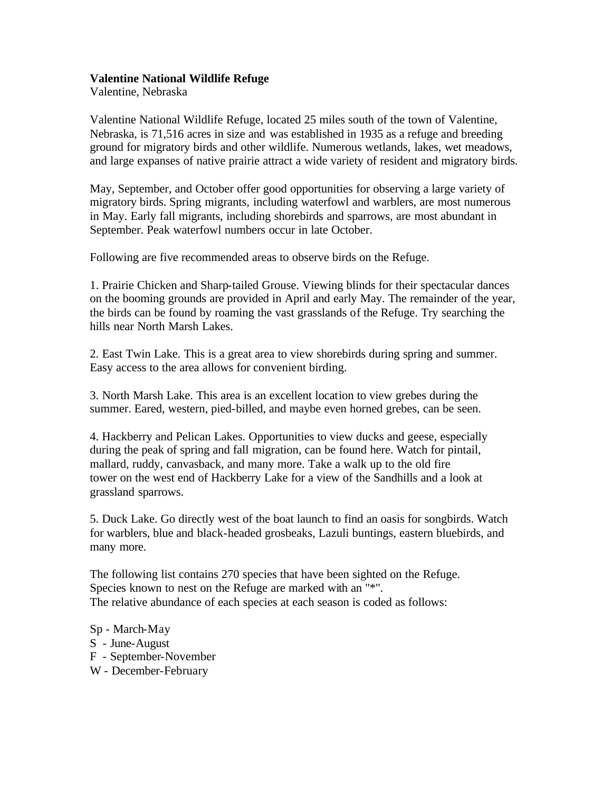## **Valentine National Wildlife Refuge**

Valentine, Nebraska

Valentine National Wildlife Refuge, located 25 miles south of the town of Valentine, Nebraska, is 71,516 acres in size and was established in 1935 as a refuge and breeding ground for migratory birds and other wildlife. Numerous wetlands, lakes, wet meadows, and large expanses of native prairie attract a wide variety of resident and migratory birds.

May, September, and October offer good opportunities for observing a large variety of migratory birds. Spring migrants, including waterfowl and warblers, are most numerous in May. Early fall migrants, including shorebirds and sparrows, are most abundant in September. Peak waterfowl numbers occur in late October.

Following are five recommended areas to observe birds on the Refuge.

1. Prairie Chicken and Sharp-tailed Grouse. Viewing blinds for their spectacular dances on the booming grounds are provided in April and early May. The remainder of the year, the birds can be found by roaming the vast grasslands of the Refuge. Try searching the hills near North Marsh Lakes.

2. East Twin Lake. This is a great area to view shorebirds during spring and summer. Easy access to the area allows for convenient birding.

3. North Marsh Lake. This area is an excellent location to view grebes during the summer. Eared, western, pied-billed, and maybe even horned grebes, can be seen.

4. Hackberry and Pelican Lakes. Opportunities to view ducks and geese, especially during the peak of spring and fall migration, can be found here. Watch for pintail, mallard, ruddy, canvasback, and many more. Take a walk up to the old fire tower on the west end of Hackberry Lake for a view of the Sandhills and a look at grassland sparrows.

5. Duck Lake. Go directly west of the boat launch to find an oasis for songbirds. Watch for warblers, blue and black-headed grosbeaks, Lazuli buntings, eastern bluebirds, and many more.

The following list contains 270 species that have been sighted on the Refuge. Species known to nest on the Refuge are marked with an "\*". The relative abundance of each species at each season is coded as follows:

- Sp March-May
- S June-August
- F September-November
- W December-February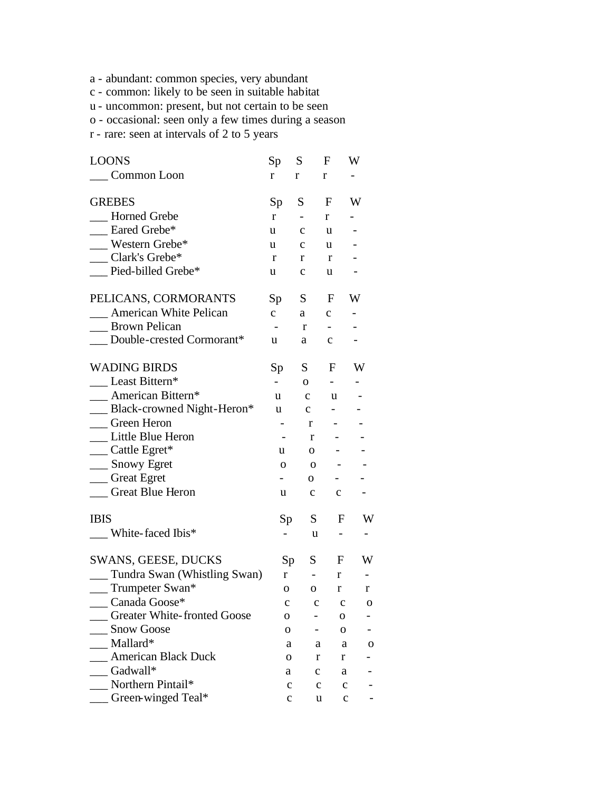- a abundant: common species, very abundant
- c common: likely to be seen in suitable habitat
- u uncommon: present, but not certain to be seen
- o occasional: seen only a few times during a season
- r rare: seen at intervals of 2 to 5 years

| <b>LOONS</b>                       | Sp                       | S.                       | F                        | W                        |
|------------------------------------|--------------------------|--------------------------|--------------------------|--------------------------|
| Common Loon                        | r                        | r                        | r                        |                          |
| <b>GREBES</b>                      | Sp                       | S.                       | F                        | W                        |
| <b>Horned Grebe</b>                | $r_{\parallel}$          |                          | r                        | $\overline{\phantom{0}}$ |
| __ Eared Grebe*                    | u                        | $\mathbf{C}$             | u                        | $\overline{\phantom{0}}$ |
| __ Western Grebe*                  | u                        | $\mathbf{C}$             | u                        |                          |
| __ Clark's Grebe*                  | r                        | r                        | r                        |                          |
| __ Pied-billed Grebe*              | u                        | $\mathbf c$              | u                        |                          |
| PELICANS, CORMORANTS               | Sp                       | S —                      | F                        | W                        |
| __ American White Pelican          | $\mathbf{C}$             | a                        | $\mathbf{C}$             | $\overline{\phantom{0}}$ |
| __ Brown Pelican                   | $\overline{\phantom{a}}$ | r                        | $\blacksquare$           |                          |
| __ Double-crested Cormorant*       | u                        | a                        | $\mathbf{C}$             |                          |
| <b>WADING BIRDS</b>                | Sp                       | S                        | F                        | W                        |
| __ Least Bittern*                  | $\overline{\phantom{0}}$ | $\mathbf{O}$             | $\blacksquare$           |                          |
| __ American Bittern*               | u                        | $\mathbf{C}$             | u                        |                          |
| __ Black-crowned Night-Heron*      | u                        | $\mathbf{C}$             |                          |                          |
| Green Heron                        |                          | r                        | $\blacksquare$           |                          |
| __ Little Blue Heron               | $\blacksquare$           | r                        | $\blacksquare$           |                          |
| __ Cattle Egret*                   | u                        | 0                        |                          |                          |
| __ Snowy Egret                     | $\mathbf 0$              | $\mathbf{o}$             | $\overline{\phantom{a}}$ |                          |
| __ Great Egret                     | $\overline{\phantom{0}}$ | 0                        | н.                       |                          |
| <b>Creat Blue Heron</b>            | u                        | $\mathbf{C}$             | $\mathbf c$              |                          |
| <b>IBIS</b>                        | Sp                       | S                        | F                        | W                        |
| __ White-faced Ibis*               | $\overline{\phantom{0}}$ | u                        | $\overline{\phantom{0}}$ |                          |
| SWANS, GEESE, DUCKS                |                          | S<br>Sp                  | F                        | W                        |
| __ Tundra Swan (Whistling Swan)    | $\mathbf{r}$             | $\overline{\phantom{a}}$ | r                        |                          |
| __ Trumpeter Swan*                 | 0                        | 0                        | $\bf r$                  | r                        |
| _ Canada Goose*                    | c                        | c                        | c                        | о                        |
| <b>Greater White-fronted Goose</b> | о                        |                          | 0                        |                          |
| <b>Snow Goose</b>                  | O                        |                          | о                        |                          |
| Mallard*                           | a                        | a                        | a                        | 0                        |
| <b>American Black Duck</b>         | 0                        | r                        | r                        |                          |
| Gadwall*                           | a                        | c                        | a                        |                          |
| Northern Pintail*                  | с                        | c                        | $\mathbf c$              |                          |
| Green-winged Teal*                 | c                        | u                        |                          | $\mathbf c$              |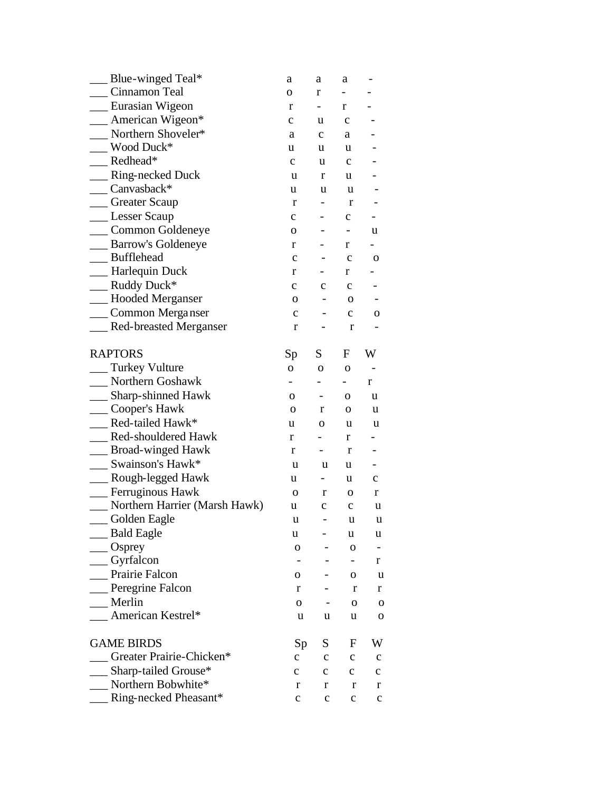| Blue-winged Teal*                  | a                        | a                        | a                            |                          |
|------------------------------------|--------------------------|--------------------------|------------------------------|--------------------------|
| Cinnamon Teal                      | 0                        | r                        |                              |                          |
| __ Eurasian Wigeon                 | r                        | $\overline{\phantom{0}}$ | r                            |                          |
| _ American Wigeon*                 | $\mathbf c$              | u                        | $\mathbf c$                  |                          |
| Northern Shoveler*                 | a                        | $\mathbf{C}$             | a                            |                          |
| Wood Duck*                         | u                        | u                        | u                            |                          |
| $\mathsf{Redhead}^*$               | $\mathbf{C}$             | u                        | $\mathbf{C}$                 |                          |
| _ Ring-necked Duck                 | u                        | r                        | u                            |                          |
| Canvasback*                        | u                        | u                        | u                            |                          |
| <sub>__</sub> Greater Scaup        | r                        |                          | r                            |                          |
| __ Lesser Scaup                    | $\mathbf c$              |                          | $\mathbf c$                  |                          |
| __ Common Goldeneye                | 0                        |                          | $\qquad \qquad \blacksquare$ | u                        |
| __ Barrow's Goldeneye              | r                        |                          | r                            |                          |
| _Bufflehead                        | $\mathbf c$              |                          | $\mathbf c$                  | 0                        |
| -Harlequin Duck                    | r                        |                          | r                            |                          |
| __ Ruddy Duck*                     | $\mathbf{C}$             | $\mathbf c$              | $\mathbf c$                  |                          |
| _Hooded Merganser                  | 0                        |                          | 0                            |                          |
| __ Common Merganser                | с                        |                          | $\mathbf{C}$                 | 0                        |
| _Red-breasted Merganser            | r                        |                          | r                            |                          |
| <b>RAPTORS</b>                     | Sp                       | S.                       | F                            | W                        |
| _ Turkey Vulture                   | $\mathbf{O}$             | 0                        | O                            |                          |
| <b>Northern Goshawk</b>            | $\overline{\phantom{0}}$ |                          |                              | r                        |
| __ Sharp-shinned Hawk              | $\mathbf{O}$             |                          | 0                            | u                        |
| __ Cooper's Hawk                   | $\mathbf{O}$             | r                        | 0                            | u                        |
| Red-tailed Hawk*                   | u                        | 0                        | u                            | u                        |
| _Red-shouldered Hawk               | r                        |                          | r                            |                          |
| __ Broad-winged Hawk               | r                        |                          | r                            |                          |
| $\equiv$ Swainson's Hawk*          | u                        | u                        | u                            |                          |
| __ Rough-legged Hawk               | u                        | $\overline{\phantom{0}}$ | u                            | $\mathbf{C}$             |
| _ Ferruginous Hawk                 | 0                        | r                        | 0                            | r                        |
| Northern Harrier (Marsh Hawk)      | u                        | $\mathbf c$              | $\mathbf c$                  | u                        |
| Golden Eagle                       | u                        |                          | u.                           | u                        |
| Bald Eagle                         | u                        |                          | u                            | u                        |
| $\_\_$ Osprey                      | O                        |                          | O                            | $\overline{\phantom{a}}$ |
| $\equiv$ Gyrfalcon                 | -                        |                          | -                            | r                        |
| Prairie Falcon                     | 0                        |                          | 0                            | u                        |
| _Peregrine Falcon                  | r                        |                          | r                            | r                        |
| Merlin                             | $\mathbf{O}$             |                          | O                            | $\mathbf 0$              |
| <b>Example 2</b> American Kestrel* | u                        | u                        | u                            | $\mathbf 0$              |
| <b>GAME BIRDS</b>                  | Sp                       | S                        | F                            | W                        |
| Greater Prairie-Chicken*           | $\mathbf{C}$             | $\mathbf c$              | $\mathbf C$                  | $\mathbf{c}$             |
| _ Sharp-tailed Grouse*             | $\mathbf{c}$             | с                        | $\mathbf{c}$                 | $\mathbf{C}$             |
| Northern Bobwhite*                 | r                        | r                        | r                            | r                        |
| Ring-necked Pheasant*              | $\mathbf{C}$             | c                        | $\mathbf c$                  | $\mathbf{C}$             |
|                                    |                          |                          |                              |                          |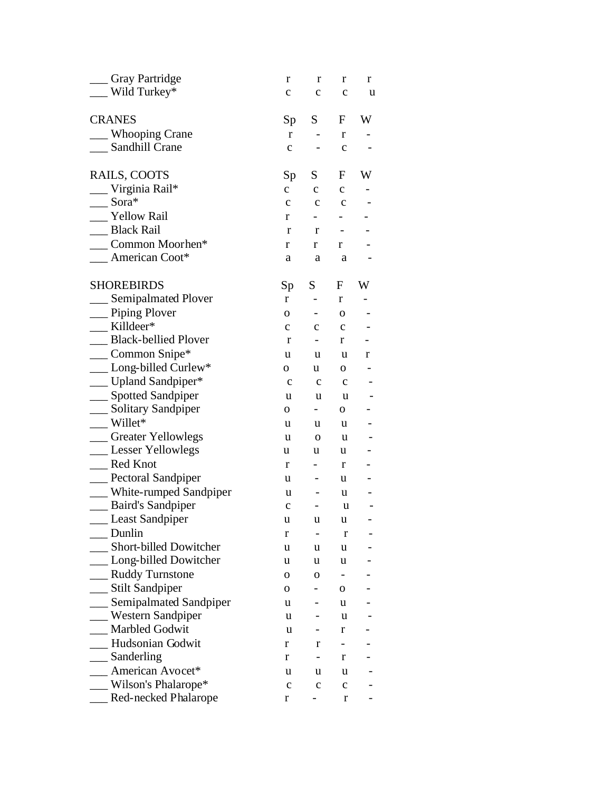| Gray Partridge                | r            | r                        | r            | r |
|-------------------------------|--------------|--------------------------|--------------|---|
| Wild Turkey*                  | $\mathbf c$  | с                        | $\mathbf c$  | u |
| <b>CRANES</b>                 | Sp           | S                        | F            | W |
| <b>Whooping Crane</b>         | r            |                          | r            |   |
| Sandhill Crane                | $\mathbf c$  |                          | $\mathbf c$  |   |
| RAILS, COOTS                  | Sp           | S                        | F            | W |
| $\equiv$ Virginia Rail*       | $\mathbf{C}$ | $\mathbf{c}$             | $\mathbf c$  |   |
| $\sqrt{S}$ ora*               | $\mathbf c$  | $\mathbf{C}$             | $\mathbf{C}$ |   |
| _Yellow Rail                  | r            | $\overline{\phantom{0}}$ |              |   |
| <b>Black Rail</b>             | r            | r                        |              |   |
| Common Moorhen*               | r            | r                        | r            |   |
| $\blacksquare$ American Coot* | a            | a                        | a            |   |
| <b>SHOREBIRDS</b>             | Sp           | S                        | F            | W |
| <b>Semipalmated Plover</b>    | r            |                          | r            |   |
| __ Piping Plover              | 0            | $\blacksquare$           | O            |   |
| Killdeer*                     | $\mathbf{C}$ | $\mathbf c$              | $\mathbf c$  |   |
| _ Black-bellied Plover        | r            |                          | r            |   |
| $\_\_$ Common Snipe*          | u            | u                        | u            | r |
| __ Long-billed Curlew*        | 0            | u                        | 0            |   |
| __ Upland Sandpiper*          | $\mathbf c$  | $\mathbf c$              | $\mathbf c$  |   |
| __ Spotted Sandpiper          | u            | u                        | u            |   |
| ___ Solitary Sandpiper        | 0            | $\blacksquare$           | 0            |   |
| $Willet*$                     | u            | u                        | u            |   |
| _Greater Yellowlegs           | u            | $\mathbf{O}$             | u            |   |
| __ Lesser Yellowlegs          | u            | u                        | u            |   |
| <b>Red Knot</b>               | r            | $\overline{\phantom{0}}$ | r            |   |
| _Pectoral Sandpiper           | u            |                          | u            |   |
| White-rumped Sandpiper        | u            |                          | u            |   |
| __ Baird's Sandpiper          | $\mathbf c$  | -                        | u            |   |
| __ Least Sandpiper            | u            | u                        | u            |   |
| Dunlin                        | r            |                          | r            |   |
| <b>Short-billed Dowitcher</b> | u            | u                        | u            |   |
| __ Long-billed Dowitcher      | u            | u                        | u            |   |
| <b>Ruddy Turnstone</b>        | $\mathbf{O}$ | 0                        |              |   |
| __ Stilt Sandpiper            | 0            |                          | 0            |   |
| __ Semipalmated Sandpiper     | u            |                          | u            |   |
| Western Sandpiper             | u            |                          | u            |   |
| <b>Marbled Godwit</b>         | u            |                          | r            |   |
| Hudsonian Godwit              | $\mathbf r$  | r                        | -            |   |
| Sanderling                    | r            |                          | r            |   |
| American Avocet*              | u            | u                        | u            |   |
| Wilson's Phalarope*           | $\mathbf{C}$ | c                        | с            |   |
| Red-necked Phalarope          | r            |                          | r            |   |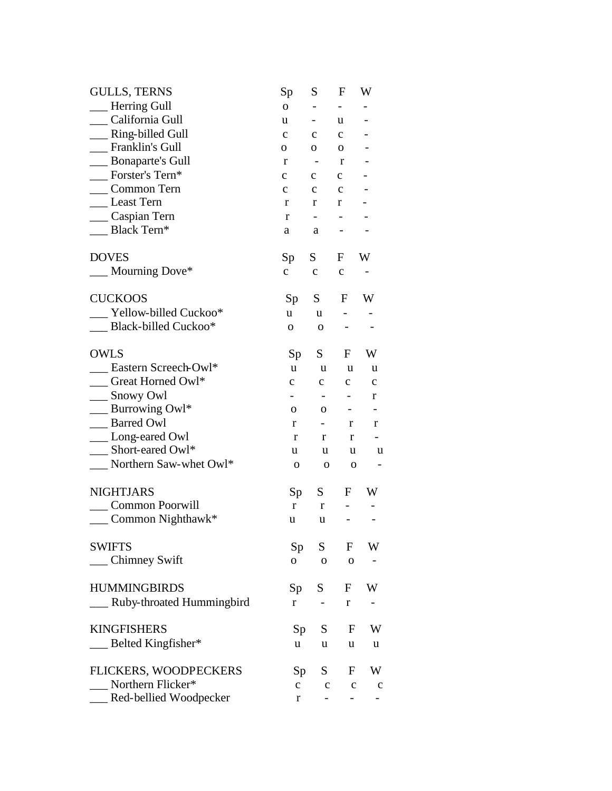| <b>GULLS, TERNS</b>                   | Sp              | S                        | F              | W                        |
|---------------------------------------|-----------------|--------------------------|----------------|--------------------------|
| -Herring Gull                         | $\mathbf{O}$    |                          |                |                          |
| California Gull                       | u               | $\qquad \qquad -$        | u              |                          |
| _Ring-billed Gull                     | $\mathbf c$     | $\mathbf c$              | c              |                          |
| <b>Franklin's Gull</b>                | 0               | 0                        | 0              |                          |
| <b>Bonaparte's Gull</b>               | r               | $\overline{a}$           | r              |                          |
| Forster's Tern*                       | $\mathbf c$     | $\mathbf{C}$             | $\mathbf{C}$   |                          |
| Common Tern                           | $\mathbf c$     | $\mathbf c$              | $\mathbf c$    |                          |
| _Least Tern                           | r               | r                        | r              |                          |
| _Caspian Tern                         | r               | -                        |                |                          |
| Black Tern*                           | a               | a                        |                |                          |
| <b>DOVES</b>                          | Sp              | S                        | F              | W                        |
| Mourning Dove*                        | $\mathbf c$     | $\mathbf C$              | $\mathbf c$    |                          |
| <b>CUCKOOS</b>                        | Sp              | S                        | F              | W                        |
| Yellow-billed Cuckoo*                 | u               | u                        |                |                          |
| <b>Black-billed Cuckoo*</b>           | $\mathbf{O}$    | $\mathbf 0$              |                |                          |
| <b>OWLS</b>                           | Sp              | S                        | F              | W                        |
| Eastern Screech-Owl*                  | u               | u                        | u              | u                        |
| Great Horned Owl*                     | $\mathbf{C}$    | $\mathbf C$              | $\mathbf C$    | $\mathbf c$              |
| __ Snowy Owl                          | -               | -                        | -              | r                        |
| $\frac{1}{2}$ Burrowing Owl*          | $\mathbf 0$     | 0                        | -              |                          |
| <b>Barred Owl</b>                     | r               | ۰.                       | r              | r                        |
| __ Long-eared Owl                     | r               | r                        | r              |                          |
| Short-eared Owl*                      | u               | u                        | u              | u                        |
| $\blacksquare$ Northern Saw-whet Owl* | $\mathbf O$     | 0                        | $\mathbf 0$    | $\overline{\phantom{0}}$ |
| <b>NIGHTJARS</b>                      | Sp              | S                        | F              | W                        |
| Common Poorwill                       | r               | $\bf r$                  |                |                          |
| $\equiv$ Common Nighthawk*            | u               | u                        |                |                          |
| <b>SWIFTS</b>                         | Sp <sub>1</sub> | S                        | F              | W                        |
| __ Chimney Swift                      | $\mathbf{O}$    | $\mathbf 0$              | $\mathbf{o}$   |                          |
| <b>HUMMINGBIRDS</b>                   | Sp              | S                        | F              | W                        |
| __ Ruby-throated Hummingbird          | r               | $\overline{\phantom{0}}$ | $\mathbf r$    |                          |
| <b>KINGFISHERS</b>                    | Sp              | S                        | F              | W                        |
| Belted Kingfisher*                    | u               | u                        | u              | u                        |
| FLICKERS, WOODPECKERS                 | Sp              | S.                       | F              | W                        |
| Northern Flicker*                     | $\mathbf{C}$    | $\mathbf c$              | $\mathbf c$    | $\mathbf c$              |
| Red-bellied Woodpecker                | r               | $\blacksquare$           | $\blacksquare$ |                          |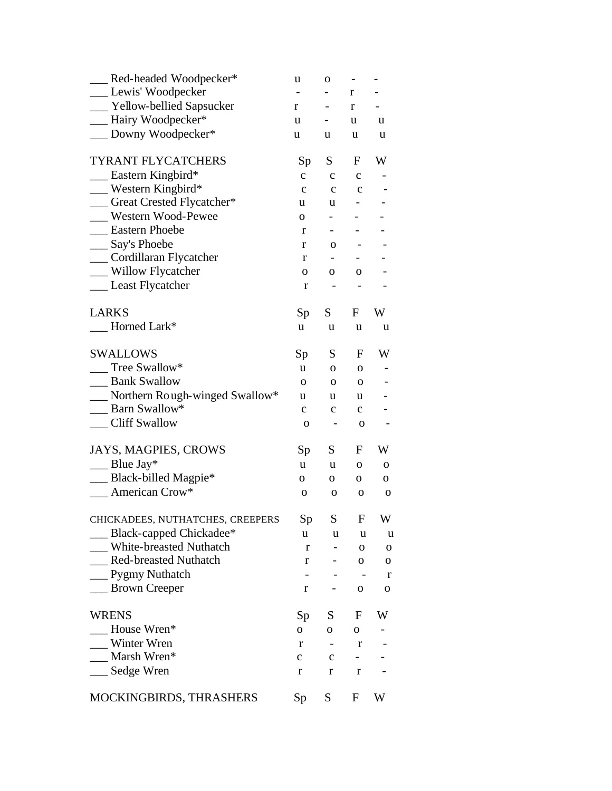| Red-headed Woodpecker*            | u            | O                        |                   |             |
|-----------------------------------|--------------|--------------------------|-------------------|-------------|
| __ Lewis' Woodpecker              |              |                          | r                 |             |
| __ Yellow-bellied Sapsucker       | r            | $\overline{\phantom{0}}$ | r                 |             |
| - Hairy Woodpecker*               | u            | Ξ.                       | u                 | u           |
| __ Downy Woodpecker*              | u            | u                        | u                 | u           |
| <b>TYRANT FLYCATCHERS</b>         | Sp           | S                        | F                 | W           |
| $\_\_\$ Eastern Kingbird*         | $\mathbf{C}$ | $\mathbf{C}$             | $\mathbf c$       |             |
| Western Kingbird*                 | $\mathbf{C}$ | $\mathbf{C}$             | $\mathbf c$       |             |
| __ Great Crested Flycatcher*      | u            | u                        |                   |             |
| Western Wood-Pewee                | 0            | $\overline{\phantom{0}}$ |                   |             |
| <b>Eastern Phoebe</b>             | r            | $\overline{\phantom{0}}$ |                   |             |
| __ Say's Phoebe                   | r            | $\mathbf{O}$             |                   |             |
| __ Cordillaran Flycatcher         | r            | $\overline{\phantom{0}}$ |                   |             |
| __ Willow Flycatcher              | 0            | О.                       | 0                 |             |
| Least Flycatcher                  | r            | $\overline{\phantom{a}}$ | $\qquad \qquad -$ |             |
| <b>LARKS</b>                      | Sp           | S.                       | F                 | W           |
| Horned Lark*                      | u            | u                        | u                 | u           |
| <b>SWALLOWS</b>                   | Sp           | S                        | F                 | W           |
| Tree Swallow*                     | u            | $\mathbf{O}$             | $\mathbf{O}$      |             |
| __ Bank Swallow                   | $\mathbf{O}$ | $\mathbf{O}$             | 0                 |             |
| __ Northern Rough-winged Swallow* | u            | u                        | u                 |             |
| Barn Swallow*                     | $\mathbf{c}$ | $\mathbf c$              | $\mathbf{C}$      |             |
| Cliff Swallow                     | $\mathbf 0$  | -                        | $\mathbf 0$       |             |
| JAYS, MAGPIES, CROWS              | Sp           | S.                       | F                 | W           |
| $\_\_$ Blue Jay*                  | u            | u                        | 0                 | 0           |
| __ Black-billed Magpie*           | О.           | 0                        | 0                 | 0           |
| $\_\_\$ American Crow*            | $\mathbf 0$  | $\mathbf 0$              | $\mathbf 0$       | $\mathbf 0$ |
| CHICKADEES, NUTHATCHES, CREEPERS  | Sp           | S —                      | $\mathbf{F}$      | W           |
| _ Black-capped Chickadee*         | u            | u                        | u                 | u           |
| <b>White-breasted Nuthatch</b>    | r            | $\overline{\phantom{0}}$ | $\mathbf{O}$      | $\mathbf 0$ |
| Red-breasted Nuthatch             | r            |                          | 0                 | 0           |
| _Pygmy Nuthatch                   |              |                          |                   | r           |
| __ Brown Creeper                  | r            |                          | 0                 | 0           |
| <b>WRENS</b>                      | Sp           | S                        | F                 | W           |
| House Wren*                       | $\mathbf{O}$ | 0                        | 0                 |             |
| Winter Wren                       | r            |                          | r                 |             |
| _Marsh Wren*                      | $\mathbf c$  | $\mathbf c$              | Ξ.                |             |
| __ Sedge Wren                     | r            | r                        | r                 |             |
| MOCKINGBIRDS, THRASHERS           | Sp           | S                        | F                 | W           |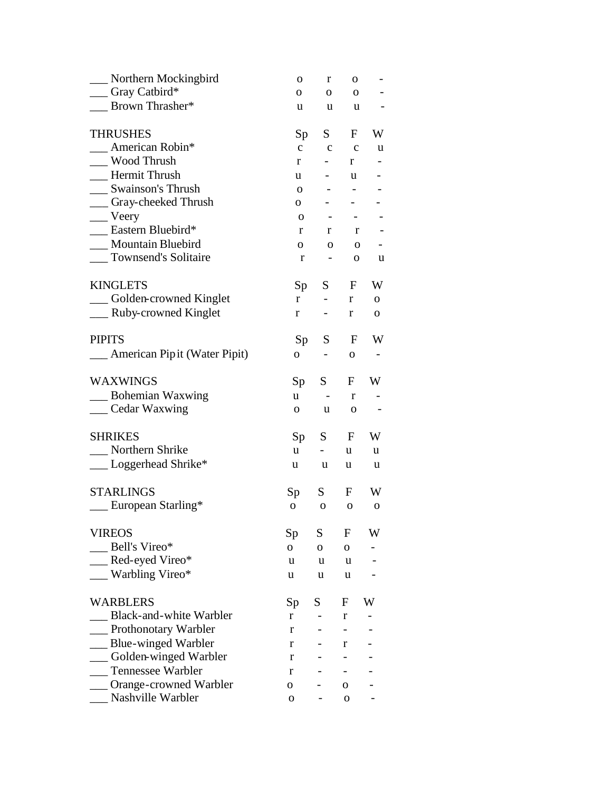| __ Northern Mockingbird          | O              | r                        | 0                                      |             |
|----------------------------------|----------------|--------------------------|----------------------------------------|-------------|
| __ Gray Catbird*                 | 0              | 0                        | $\mathbf{O}$                           |             |
| <b>Brown Thrasher*</b>           | u              | u                        | u                                      |             |
| <b>THRUSHES</b>                  | Sp             | S                        | $\mathbf{F}$                           | W           |
| American Robin*                  | $\mathbf{C}$   | $\mathbf{c}$             | $\mathbf{c}$                           | u           |
| Wood Thrush                      | r              | $-$ 100 $-$              | r                                      |             |
| <b>Hermit Thrush</b>             | u              | $\overline{\phantom{a}}$ | u                                      |             |
| __ Swainson's Thrush             | $\mathbf{O}$   |                          |                                        |             |
| __ Gray-cheeked Thrush           | $\mathbf{O}$   |                          | $\overline{\phantom{0}}$               |             |
| $\equiv$ Veery                   | $\mathbf 0$    |                          | $\sim 100$<br>$\overline{\phantom{a}}$ |             |
| <b>Eastern Bluebird*</b>         | r              | r                        | $\mathbf{r}$                           |             |
| __ Mountain Bluebird             | О.             | $\mathbf{O}$             | $\mathbf{O}$                           |             |
| __ Townsend's Solitaire          | r              |                          | 0<br>$\sigma_{\rm{max}}$               | u           |
| <b>KINGLETS</b>                  | Sp             | S                        | $F_{-}$                                | W           |
| __ Golden-crowned Kinglet        | r              | $\sim 100$               | r                                      | О.          |
| ___ Ruby-crowned Kinglet         | r              | $\sim$                   | $\mathbf r$                            | 0           |
| <b>PIPITS</b>                    | Sp             | S                        | F                                      | W           |
| __ American Pip it (Water Pipit) | $\mathbf{O}$   | $\overline{\phantom{a}}$ | 0                                      |             |
| <b>WAXWINGS</b>                  | Sp             | S                        | F                                      | W           |
| __ Bohemian Waxwing              | u.             | $\sim$ $-$               | r                                      |             |
| ___ Cedar Waxwing                | 0              | u.                       | $\mathbf 0$                            |             |
| <b>SHRIKES</b>                   | Sp             | S                        | $F_{\perp}$                            | W           |
| __ Northern Shrike               | u.             | $\sim$                   | $\mathbf u$                            | u           |
| __ Loggerhead Shrike*            | u              | u                        | u                                      | u           |
| <b>STARLINGS</b>                 | Sp             | S                        | F                                      | W           |
| __ European Starling*            | $\mathbf{O}$   | $\mathbf{O}$             | $\mathbf{O}$                           | $\mathbf 0$ |
| <b>VIREOS</b>                    | Sp             | S                        | F                                      | W           |
| Bell's Vireo*                    | $\overline{O}$ | $\mathbf{O}$             | 0                                      |             |
| $\equiv$ Red-eyed Vireo*         | u              | u                        | u                                      |             |
| $\equiv$ Warbling Vireo*         | u              | u                        | u                                      |             |
| <b>WARBLERS</b>                  | Sp             | S                        | F                                      | W           |
| Black-and-white Warbler          | r              |                          | r                                      |             |
| _ Prothonotary Warbler           | r              |                          |                                        |             |
| Blue-winged Warbler              | r              |                          | r                                      |             |
| _Golden-winged Warbler           | r              |                          |                                        |             |
| <b>Tennessee Warbler</b>         | r              |                          |                                        |             |
| ___ Orange-crowned Warbler       | 0              |                          | О                                      |             |
| Nashville Warbler                | 0              |                          | 0                                      |             |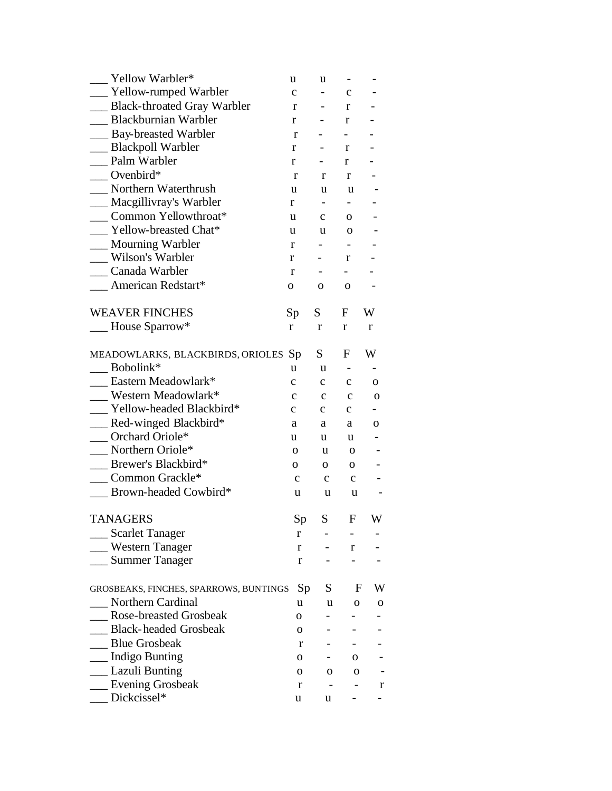| Yellow Warbler*                        | u               | u                            |              |              |
|----------------------------------------|-----------------|------------------------------|--------------|--------------|
| __ Yellow-rumped Warbler               | $\mathbf{C}$    | $\overline{\phantom{0}}$     | $\mathbf c$  |              |
| Black-throated Gray Warbler            | r               | $\qquad \qquad \blacksquare$ | r            |              |
| Blackburnian Warbler                   | r               | $\overline{\phantom{a}}$     | r            |              |
| __ Bay-breasted Warbler                | r               | $\overline{\phantom{0}}$     | $\sim$       |              |
| __ Blackpoll Warbler                   | r               |                              | r            |              |
| Palm Warbler                           | r               | н.                           | r            |              |
| $\_\_$ Ovenbird*                       | r               | r                            | r            |              |
| Northern Waterthrush                   | u               | u                            | u            |              |
| __ Macgillivray's Warbler              | r               | $\blacksquare$               | $-$          |              |
| Common Yellowthroat*                   | u               | $\mathbf{C}$                 | 0            |              |
| Yellow-breasted Chat*                  | u               | u                            | $\mathbf{O}$ |              |
| __ Mourning Warbler                    | r               | $\overline{\phantom{0}}$     |              |              |
| Wilson's Warbler                       | r               | $\overline{\phantom{0}}$     | r            |              |
| __ Canada Warbler                      | r               | $\overline{\phantom{0}}$     | $-$          |              |
| American Redstart*                     | 0               | 0                            | $\mathbf{O}$ |              |
| <b>WEAVER FINCHES</b>                  | Sp <sub>1</sub> | S                            | F            | W            |
| __ House Sparrow*                      | r               | r                            | r            | r            |
| MEADOWLARKS, BLACKBIRDS, ORIOLES Sp    |                 | S                            | F            | W            |
| Bobolink*                              | u               | u                            |              |              |
| Eastern Meadowlark*                    | $\mathbf c$     | $\mathbf{C}$                 | $\mathbf c$  | $\mathbf{O}$ |
| Western Meadowlark*                    | $\mathbf c$     | $\mathbf c$                  | $\mathbf{C}$ | $\mathbf 0$  |
| Yellow-headed Blackbird*               | $\mathbf{C}$    | $\mathbf{C}$                 | $\mathbf{C}$ |              |
| Red-winged Blackbird*                  | a               | a                            | a            | 0            |
| Orchard Oriole*                        | u               | u                            | u            |              |
| __ Northern Oriole*                    | 0               | u                            | 0            |              |
| Brewer's Blackbird*                    | 0               | 0                            | 0            |              |
| Common Grackle*                        | $\mathbf{C}$    | $\mathbf{c}$                 | $\mathbf{c}$ |              |
| Brown-headed Cowbird*                  | u               | u                            | u            |              |
|                                        |                 |                              |              |              |
| <b>TANAGERS</b>                        | Sp              | $S_{-}$                      | ${\bf F}$    | W            |
| __ Scarlet Tanager                     | r               |                              |              |              |
| __ Western Tanager                     | r               | $\sim$                       | r            |              |
| __ Summer Tanager                      | r               |                              |              |              |
| GROSBEAKS, FINCHES, SPARROWS, BUNTINGS | Sp              | S —                          | F            | W            |
| <b>Northern Cardinal</b>               | u               | u                            | 0            | 0            |
| <b>Rose-breasted Grosbeak</b>          | 0               |                              |              |              |
| <b>Black-headed Grosbeak</b>           | 0               |                              |              |              |
| <b>Blue Grosbeak</b>                   | r               |                              |              |              |
| _ Indigo Bunting                       | 0               |                              | 0            |              |
| _ Lazuli Bunting                       | 0               | 0                            | 0            |              |
| __ Evening Grosbeak                    | r               |                              |              | r            |
| Dickcissel*                            | u               | u                            |              |              |